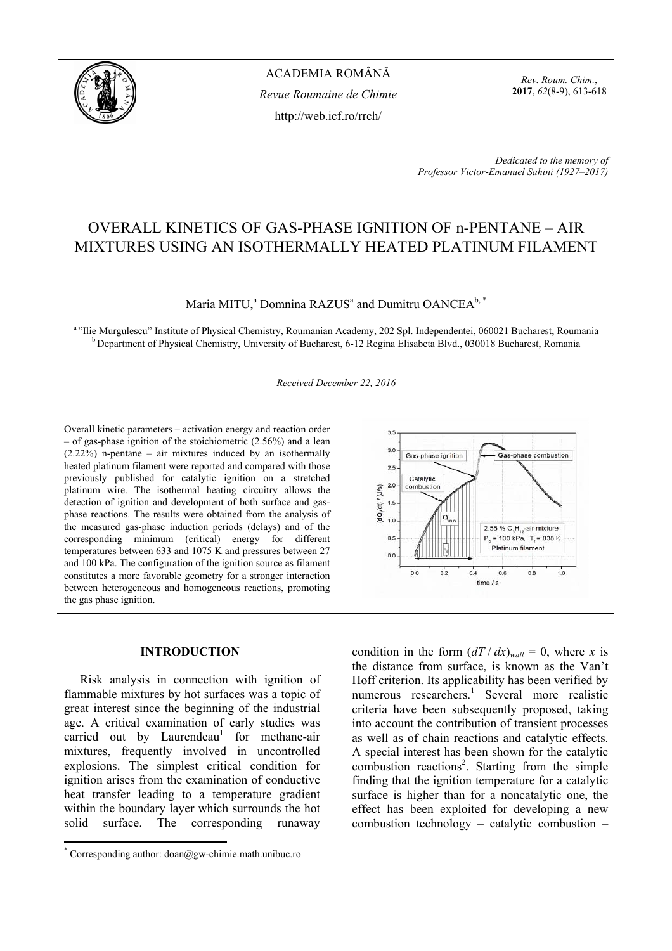

ACADEMIA ROMÂNĂ *Revue Roumaine de Chimie*  http://web.icf.ro/rrch/

*Rev. Roum. Chim.*, **2017**, *62*(8-9), 613-618

*Dedicated to the memory of Professor Victor-Emanuel Sahini (1927–2017)*

# OVERALL KINETICS OF GAS-PHASE IGNITION OF n-PENTANE – AIR MIXTURES USING AN ISOTHERMALLY HEATED PLATINUM FILAMENT

# Maria MITU,<sup>a</sup> Domnina RAZUS<sup>a</sup> and Dumitru OANCEA<sup>b,\*</sup>

<sup>a</sup> "Ilie Murgulescu" Institute of Physical Chemistry, Roumanian Academy, 202 Spl. Independentei, 060021 Bucharest, Roumania <sup>b</sup> Department of Physical Chemistry, University of Bucharest, 6-12 Regina Elisabeta Blvd., 030018 Bucharest, Romania

*Received December 22, 2016* 

Overall kinetic parameters – activation energy and reaction order – of gas-phase ignition of the stoichiometric (2.56%) and a lean  $(2.22\%)$  n-pentane – air mixtures induced by an isothermally heated platinum filament were reported and compared with those previously published for catalytic ignition on a stretched platinum wire. The isothermal heating circuitry allows the detection of ignition and development of both surface and gasphase reactions. The results were obtained from the analysis of the measured gas-phase induction periods (delays) and of the corresponding minimum (critical) energy for different temperatures between 633 and 1075 K and pressures between 27 and 100 kPa. The configuration of the ignition source as filament constitutes a more favorable geometry for a stronger interaction between heterogeneous and homogeneous reactions, promoting the gas phase ignition.

## **INTRODUCTION\***

Risk analysis in connection with ignition of flammable mixtures by hot surfaces was a topic of great interest since the beginning of the industrial age. A critical examination of early studies was  $carried$  out by Laurendeau<sup>1</sup> for methane-air mixtures, frequently involved in uncontrolled explosions. The simplest critical condition for ignition arises from the examination of conductive heat transfer leading to a temperature gradient within the boundary layer which surrounds the hot solid surface. The corresponding runaway



condition in the form  $(dT / dx)_{wall} = 0$ , where *x* is the distance from surface, is known as the Van't Hoff criterion. Its applicability has been verified by numerous researchers.<sup>1</sup> Several more realistic criteria have been subsequently proposed, taking into account the contribution of transient processes as well as of chain reactions and catalytic effects. A special interest has been shown for the catalytic combustion reactions<sup>2</sup>. Starting from the simple finding that the ignition temperature for a catalytic surface is higher than for a noncatalytic one, the effect has been exploited for developing a new combustion technology – catalytic combustion –

<sup>\*</sup> Corresponding author: doan@gw-chimie.math.unibuc.ro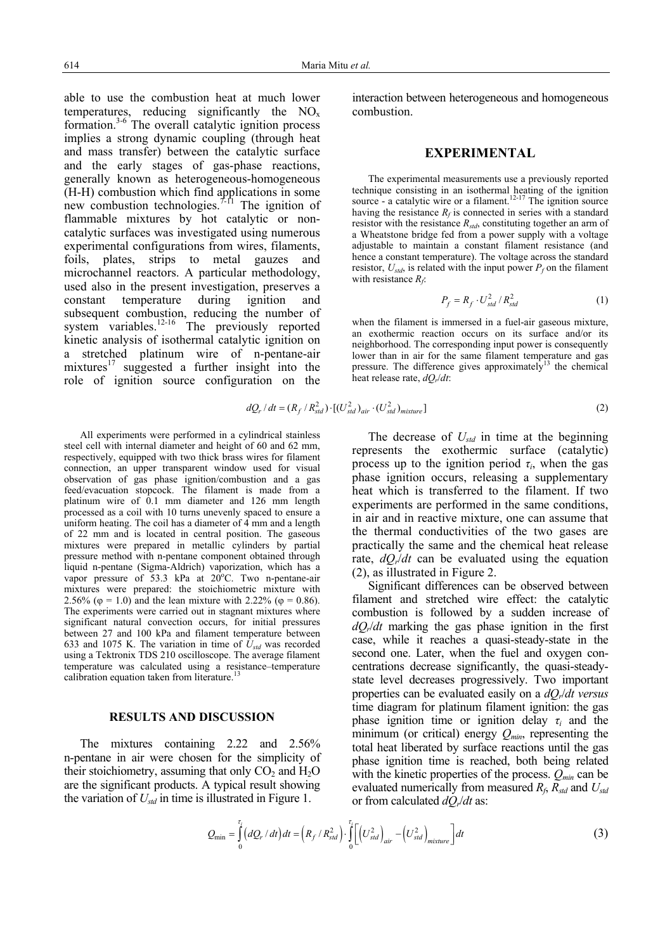able to use the combustion heat at much lower temperatures, reducing significantly the NO<sub>x</sub> formation.3-6 The overall catalytic ignition process implies a strong dynamic coupling (through heat and mass transfer) between the catalytic surface and the early stages of gas-phase reactions, generally known as heterogeneous-homogeneous (H-H) combustion which find applications in some new combustion technologies.<sup> $7-11$ </sup> The ignition of flammable mixtures by hot catalytic or noncatalytic surfaces was investigated using numerous experimental configurations from wires, filaments, foils, plates, strips to metal gauzes and microchannel reactors. A particular methodology, used also in the present investigation, preserves a constant temperature during ignition and subsequent combustion, reducing the number of system variables.<sup>12-16</sup> The previously reported kinetic analysis of isothermal catalytic ignition on a stretched platinum wire of n-pentane-air  $mixtures<sup>17</sup> suggested a further insight into the$ role of ignition source configuration on the

All experiments were performed in a cylindrical stainless steel cell with internal diameter and height of 60 and 62 mm, respectively, equipped with two thick brass wires for filament connection, an upper transparent window used for visual observation of gas phase ignition/combustion and a gas feed/evacuation stopcock. The filament is made from a platinum wire of  $\hat{0}$ .1 mm diameter and 126 mm length processed as a coil with 10 turns unevenly spaced to ensure a uniform heating. The coil has a diameter of  $\overline{4}$  mm and a length of 22 mm and is located in central position. The gaseous mixtures were prepared in metallic cylinders by partial pressure method with n-pentane component obtained through liquid n-pentane (Sigma-Aldrich) vaporization, which has a vapor pressure of  $53.3$  kPa at  $20^{\circ}$ C. Two n-pentane-air mixtures were prepared: the stoichiometric mixture with 2.56% ( $\varphi$  = 1.0) and the lean mixture with 2.22% ( $\varphi$  = 0.86). The experiments were carried out in stagnant mixtures where significant natural convection occurs, for initial pressures between 27 and 100 kPa and filament temperature between 633 and 1075 K. The variation in time of *Ustd* was recorded using a Tektronix TDS 210 oscilloscope. The average filament temperature was calculated using a resistance–temperature

calibration equation taken from literature.

**RESULTS AND DISCUSSION** 

The mixtures containing 2.22 and 2.56% n-pentane in air were chosen for the simplicity of their stoichiometry, assuming that only  $CO<sub>2</sub>$  and  $H<sub>2</sub>O$ are the significant products. A typical result showing the variation of  $U_{std}$  in time is illustrated in Figure 1.

interaction between heterogeneous and homogeneous combustion.

## **EXPERIMENTAL**

The experimental measurements use a previously reported technique consisting in an isothermal heating of the ignition source - a catalytic wire or a filament.<sup>12-17</sup> The ignition source having the resistance  $R_f$  is connected in series with a standard resistor with the resistance  $R_{std}$ , constituting together an arm of a Wheatstone bridge fed from a power supply with a voltage adjustable to maintain a constant filament resistance (and hence a constant temperature). The voltage across the standard resistor,  $U_{std}$ , is related with the input power  $P_f$  on the filament with resistance  $R_f$ :

$$
P_f = R_f \cdot U_{std}^2 / R_{std}^2 \tag{1}
$$

when the filament is immersed in a fuel-air gaseous mixture, an exothermic reaction occurs on its surface and/or its neighborhood. The corresponding input power is consequently lower than in air for the same filament temperature and gas pressure. The difference gives approximately<sup>13</sup> the chemical heat release rate,  $dQ_r/dt$ :

$$
dQ_r/dt = (R_f/R_{std}^2) \cdot [(U_{std}^2)_{air} \cdot (U_{std}^2)_{mixture}]
$$
\n(2)

The decrease of  $U_{std}$  in time at the beginning represents the exothermic surface (catalytic) process up to the ignition period  $\tau_i$ , when the gas phase ignition occurs, releasing a supplementary heat which is transferred to the filament. If two experiments are performed in the same conditions, in air and in reactive mixture, one can assume that the thermal conductivities of the two gases are practically the same and the chemical heat release rate,  $dQ_r/dt$  can be evaluated using the equation (2), as illustrated in Figure 2.

Significant differences can be observed between filament and stretched wire effect: the catalytic combustion is followed by a sudden increase of *dQr*/*dt* marking the gas phase ignition in the first case, while it reaches a quasi-steady-state in the second one. Later, when the fuel and oxygen concentrations decrease significantly, the quasi-steadystate level decreases progressively. Two important properties can be evaluated easily on a *dQr*/*dt versus* time diagram for platinum filament ignition: the gas phase ignition time or ignition delay  $\tau_i$  and the minimum (or critical) energy  $Q_{min}$ , representing the total heat liberated by surface reactions until the gas phase ignition time is reached, both being related with the kinetic properties of the process.  $Q_{min}$  can be evaluated numerically from measured *Rf*, *Rstd* and *Ustd* or from calculated *dQr*/*dt* as:

$$
Q_{\min} = \int_{0}^{\tau_{i}} (dQ_{r}/dt) dt = \left(R_{f}/R_{std}^{2}\right) \cdot \int_{0}^{\tau_{i}} \left[\left(U_{std}^{2}\right)_{air} - \left(U_{std}^{2}\right)_{mixture}\right] dt
$$
 (3)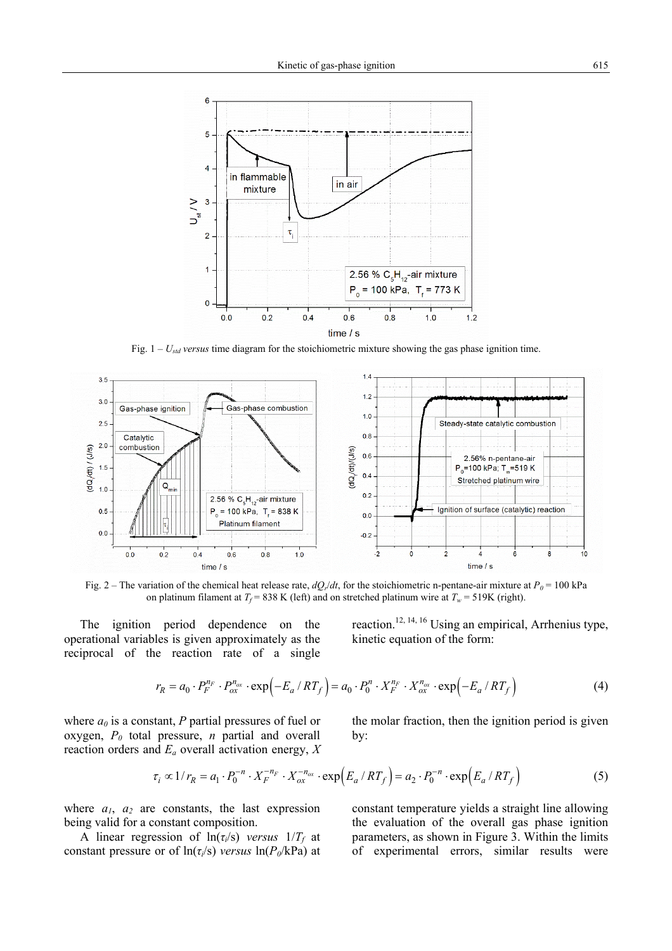

Fig.  $1 - U_{std}$  *versus* time diagram for the stoichiometric mixture showing the gas phase ignition time.



Fig. 2 – The variation of the chemical heat release rate,  $dQ_r/dt$ , for the stoichiometric n-pentane-air mixture at  $P_0 = 100$  kPa on platinum filament at  $T_f$  = 838 K (left) and on stretched platinum wire at  $T_w$  = 519K (right).

The ignition period dependence on the operational variables is given approximately as the reciprocal of the reaction rate of a single reaction.12, 14, 16 Using an empirical, Arrhenius type, kinetic equation of the form:

$$
r_R = a_0 \cdot P_F^{n_F} \cdot P_{ox}^{n_{ox}} \cdot \exp\left(-E_a / RT_f\right) = a_0 \cdot P_0^{n} \cdot X_F^{n_F} \cdot X_{ox}^{n_{ox}} \cdot \exp\left(-E_a / RT_f\right) \tag{4}
$$

where  $a_0$  is a constant, *P* partial pressures of fuel or oxygen,  $P_0$  total pressure,  $n$  partial and overall reaction orders and *Ea* overall activation energy, *X*

the molar fraction, then the ignition period is given by:

$$
\tau_i \propto 1/r_R = a_1 \cdot P_0^{-n} \cdot X_F^{-n_F} \cdot X_{ox}^{-n_{ox}} \cdot \exp\left(E_a / RT_f\right) = a_2 \cdot P_0^{-n} \cdot \exp\left(E_a / RT_f\right) \tag{5}
$$

where  $a_1$ ,  $a_2$  are constants, the last expression being valid for a constant composition.

A linear regression of  $ln(\tau_i/s)$  *versus*  $1/T_f$  at constant pressure or of  $ln(\tau_i/s)$  *versus*  $ln(P_0/kPa)$  at constant temperature yields a straight line allowing

the evaluation of the overall gas phase ignition parameters, as shown in Figure 3. Within the limits of experimental errors, similar results were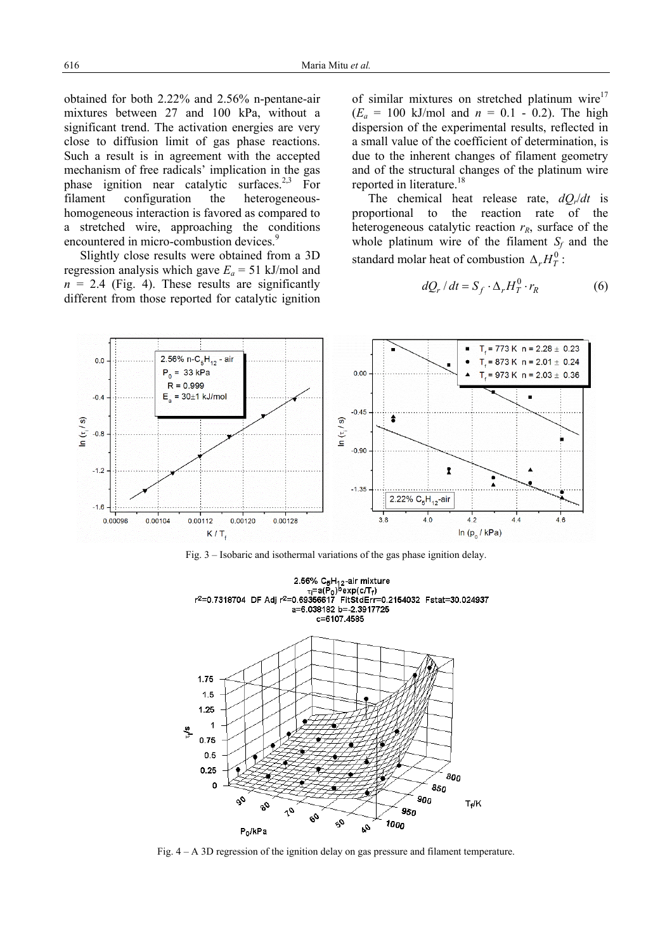obtained for both 2.22% and 2.56% n-pentane-air mixtures between 27 and 100 kPa, without a significant trend. The activation energies are very close to diffusion limit of gas phase reactions. Such a result is in agreement with the accepted mechanism of free radicals' implication in the gas phase ignition near catalytic surfaces.<sup>2,3</sup> For filament configuration the heterogeneoushomogeneous interaction is favored as compared to a stretched wire, approaching the conditions encountered in micro-combustion devices.<sup>9</sup>

Slightly close results were obtained from a 3D regression analysis which gave  $E_a = 51$  kJ/mol and  $n = 2.4$  (Fig. 4). These results are significantly different from those reported for catalytic ignition of similar mixtures on stretched platinum wire $17$  $(E_a = 100 \text{ kJ/mol}$  and  $n = 0.1 - 0.2)$ . The high dispersion of the experimental results, reflected in a small value of the coefficient of determination, is due to the inherent changes of filament geometry and of the structural changes of the platinum wire reported in literature.<sup>18</sup>

The chemical heat release rate, *dQr*/*dt* is proportional to the reaction rate of the heterogeneous catalytic reaction  $r_R$ , surface of the whole platinum wire of the filament  $S_f$  and the standard molar heat of combustion  $\Delta_r H_r^0$ :

$$
dQ_r/dt = S_f \cdot \Delta_r H_T^0 \cdot r_R \tag{6}
$$



Fig. 3 – Isobaric and isothermal variations of the gas phase ignition delay.



Fig. 4 – A 3D regression of the ignition delay on gas pressure and filament temperature.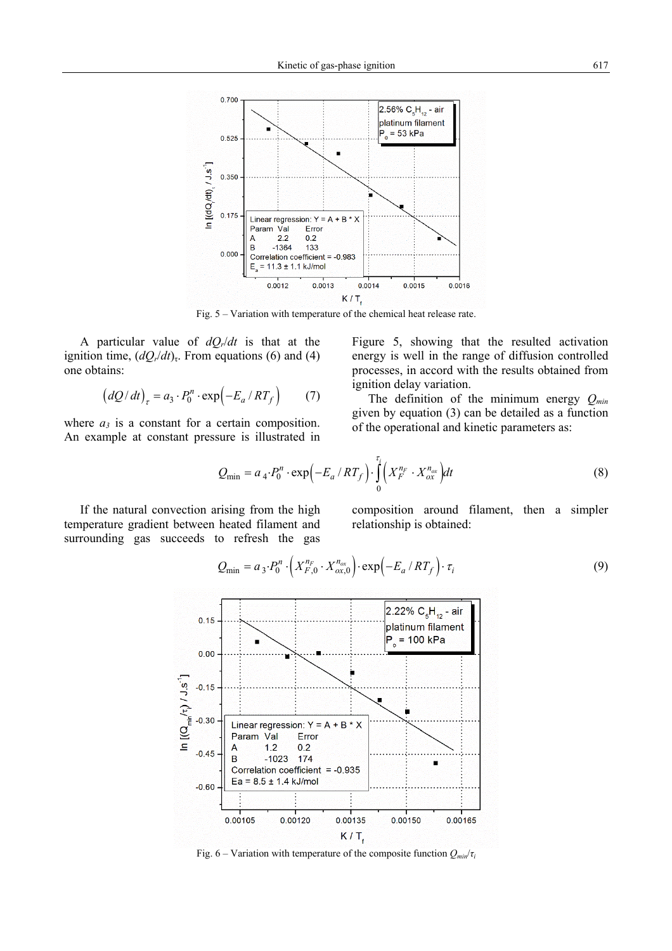

Fig. 5 – Variation with temperature of the chemical heat release rate.

A particular value of *dQr*/*dt* is that at the ignition time,  $(dQ_r/dt)$ <sub>τ</sub>. From equations (6) and (4) one obtains:

$$
\left(dQ/dt\right)_{\tau} = a_3 \cdot P_0^n \cdot \exp\left(-E_a / RT_f\right) \tag{7}
$$

where  $a_3$  is a constant for a certain composition. An example at constant pressure is illustrated in Figure 5, showing that the resulted activation energy is well in the range of diffusion controlled processes, in accord with the results obtained from ignition delay variation.

The definition of the minimum energy *Qmin* given by equation (3) can be detailed as a function of the operational and kinetic parameters as:

$$
Q_{\min} = a_4 \cdot P_0^n \cdot \exp\left(-E_a / RT_f\right) \cdot \int_0^{\tau_i} \left(X_F^{n_F} \cdot X_{ox}^{n_{ox}}\right) dt \tag{8}
$$

If the natural convection arising from the high temperature gradient between heated filament and surrounding gas succeeds to refresh the gas composition around filament, then a simpler relationship is obtained:

$$
Q_{\min} = a_3 \cdot P_0^n \cdot \left( X_{F,0}^{n_F} \cdot X_{\alpha x,0}^{n_{\alpha x}} \right) \cdot \exp\left( -E_a / RT_f \right) \cdot \tau_i \tag{9}
$$



Fig. 6 – Variation with temperature of the composite function  $Q_{min}/\tau$ *i*